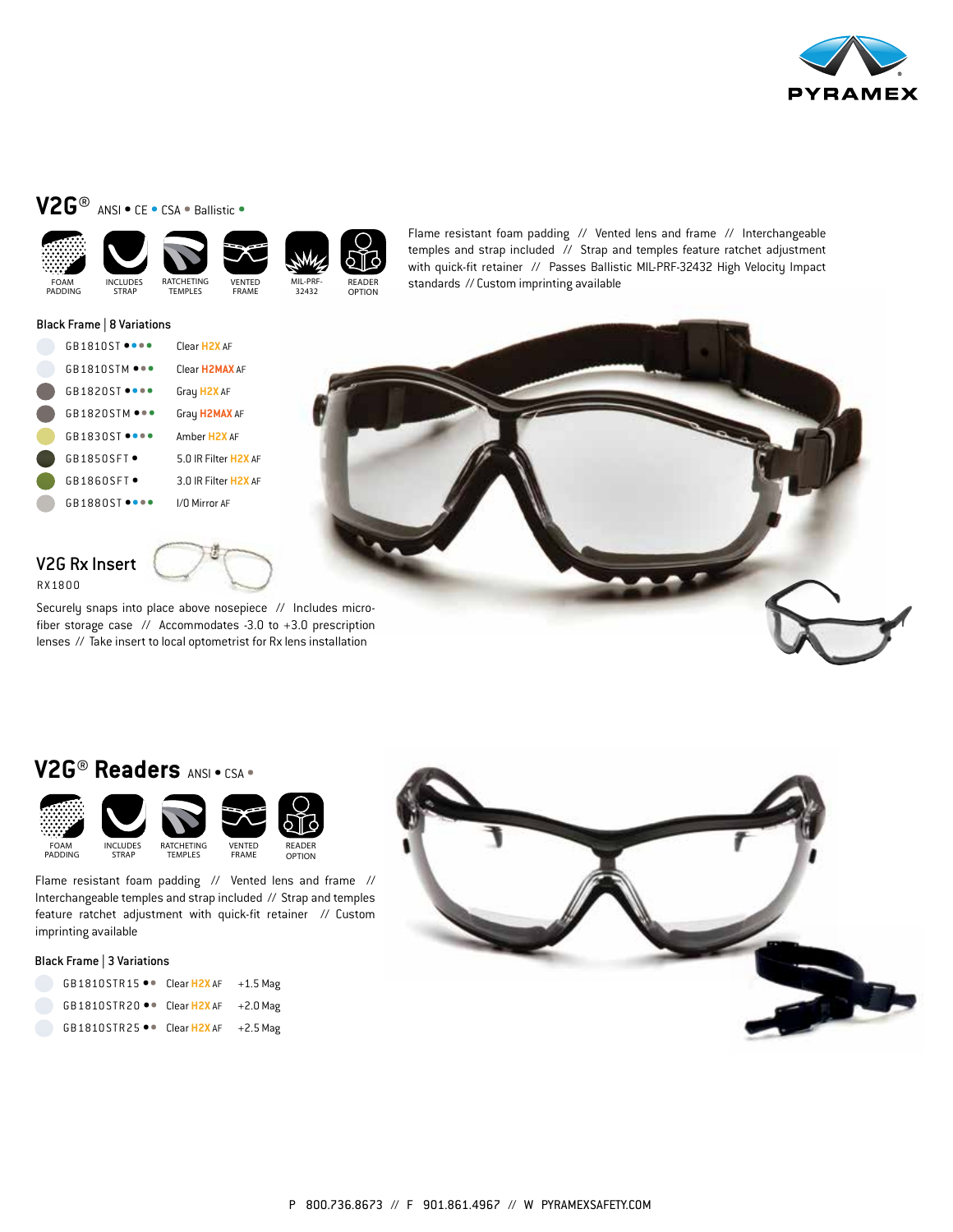

# **V2G®** ANSI • CE • CSA • Ballistic •





















FRAME



READER OPTION

Flame resistant foam padding // Vented lens and frame // Interchangeable temples and strap included // Strap and temples feature ratchet adjustment with quick-fit retainer // Passes Ballistic MIL-PRF-32432 High Velocity Impact FOAM INCLUDES RATCHETING VENTED MIL-PRF- READER Standards // Custom imprinting available PADDING STRAP TEMPLES FRAME 32432 OPTION

#### Black Frame | 8 Variations

| $G$ R181 $O$ ST $\bullet$ e $\bullet$ e $\bullet$ | Clear H <sub>2</sub> X AF         |
|---------------------------------------------------|-----------------------------------|
| $G$ R181 $O$ STM $\bullet \bullet \bullet$        | Clear H <sub>2</sub> MAX AF       |
| $GB1820ST$ $\bullet\bullet\bullet\bullet$         | Gray H2X AF                       |
| GB1820STM                                         | Gray H2MAX AF                     |
| GRI830ST                                          | Amber H <sub>2</sub> X AF         |
| GRI850SFI                                         | 5 0 IR Filter H <sub>2</sub> X AF |
| $G$ B1860SFT $\bullet$                            | 3 0 IR Filter H <sub>2</sub> X AF |
| GR1880ST                                          | I/O Mirror AF                     |



# V2G Rx Insert RX1800

Securely snaps into place above nosepiece // Includes microfiber storage case // Accommodates -3.0 to +3.0 prescription

lenses // Take insert to local optometrist for Rx lens installation

# **V2G® Readers** ANSI • CSA •



Flame resistant foam padding // Vented lens and frame // Interchangeable temples and strap included // Strap and temples feature ratchet adjustment with quick-fit retainer // Custom imprinting available

#### Black Frame | 3 Variations

| GB1810STR15 . Clear H2X AF                         | $+1.5$ Mag |
|----------------------------------------------------|------------|
| GB1810STR20 $\bullet\bullet$ Clear H2X AF +2.0 Mag |            |
| GB1810STR25 $\bullet\bullet$ Clear H2X AF +2.5 Mag |            |